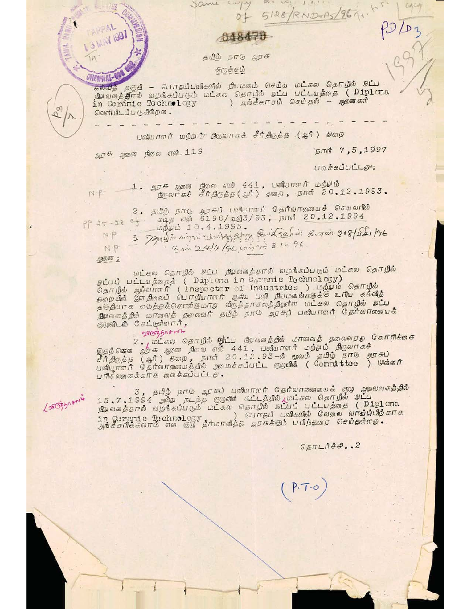048473

 $D+$ 

தமிழ் நாடு அரசு

கருக்கம்

Same Logy

*UNEWHAL-*கல்வித் தஞதி – பொதுப்பவிகளில் நியமனம் செய்ய மட்கல தொ<mark>ழில் நட்ப</mark><br>நியவனத்திரல் வழங்கப்படும் மட்கல தொழில் <mark>நட்ப பட்டயத்தை ( Diplona</mark><br>in Ceranie Technology ) அங்கீகாரம் செய்தல் – <sub>ஆணைகளி</sub> in Ceranic Technology வெளியிடப்படுகின்றன.

பாஸியாளர் மற்றம் நூருவாரச் சீர்திருத்த (ஆர்) அஹை

 $AD<sup>4</sup>$  agreem theo or orange 119

நாள் 7,5,1997

UIQ & ELILILLEO

 $5128/RDND-BS/964.$ 

1. அறசு ஜாணா நிலை என் 441, பணியாளர் மற்படு<br>- நிருவாசச் சீர்திருத்த(ஆர்) தாரை, நாள் 20.12.1993.  $N$   $P$ 

2. தமிழ் நாடு அரசுப் பலியாளர் தேர்வாகவையைச் செயலரின்<br>-} சடித என் 6190/டிஜி3/93, நாள் 20.12.1994  $PP25 - 2804$ மற்பம் 10.4.1995.

3 791140 Lampi establishing and Sahid 8. apr 218/18 /76 N<sub>P</sub> 2 in 24/4/96 compre 81096 NP

21601677 2

うつきし **MAY 1997** 

 $b_{\alpha}$ 

Lasozza omin

மைட்சலை தொறில் அட்ப நிழைவு தைதால் வழங்கப்படும் மட்சலை தொறில்<br>தெட்பப் பட்டமத்தைத் ( Diploma in Geranic Technology)<br>தெருழில் ஆய்வாளர் ( Inspector of Industries ) மற்யம் தொறில்<br>தெறையில் இளந்தையில் பொறியாளர் ஆகிய பாதி நியமனங் நிறைவைக்குள் மாகாவத் தலைவர் தமிழ் நாட் அரசுப் பணியாளர் தேர்வாரணையைக்<br>குழுவிடம் செட்டூளினார்,

2503508012

இதற்கொணை 2 - மட்கல தொடில் நிடைப நிழலானத்தில் மாவலத் தலைவரது கோரிக்ககை<br>சீர்திருக்க ஆர்சு ஆலணை நிலை என் 441 , பணியாளர் மற்பம் நிருவாகச்<br>சீர்திருக்க (ஆர்) திறை , நாள் 20.12.93—க் மூலோம் தமிழ் நாம் அரசுப்<br>பணியூராளர் தேர்வாகுண

3, தமிழ் நாடு அரசுப் பாலியாளர் தேர்வாலணவையக் குழ அவலைகத்தில்<br>15.7.1994 ஆஷ்மே நடந்த குழுவின் கூட்டத்தில்,மட்சல தொழில் நட்ப<br>நியைவாத்தால் வழங்கப்படும் மட்சல தொழில் நட்பப் பட்டயத்தை ( Diploma<br>in Geranie Technology in Ceranic Technology , வெளதுப் பணகளால சவலை வாய்ப்போற்<br>அங்கீகரிக்கலாம் என குழு தீர்மாவித்த அரசுக்கும் பரிந்துவரை செய்துள்ளத

 $G\text{SITL}$  $n$  $H$  $H$  $.2$ 

 $P.T.0$